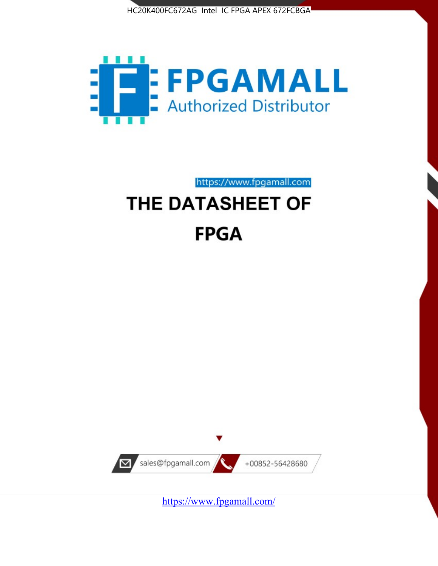



https://www.fpgamall.com THE DATASHEET OF

# **FPGA**



<https://www.fpgamall.com/>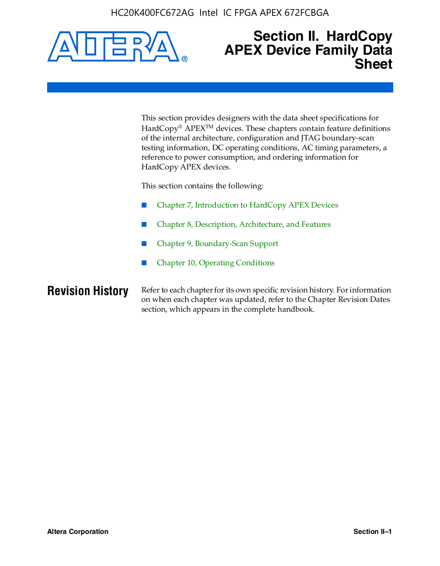

### **Section II. HardCopy APEX Device Family Data Sheet**

This section provides designers with the data sheet specifications for HardCopy<sup>®</sup> APEX<sup>™</sup> devices. These chapters contain feature definitions of the internal architecture, configuration and JTAG boundary-scan testing information, DC operating conditions, AC timing parameters, a reference to power consumption, and ordering information for HardCopy APEX devices.

This section contains the following:

- Chapter 7, Introduction to HardCopy APEX Devices
- Chapter 8, Description, Architecture, and Features
- Chapter 9, Boundary-Scan Support
- Chapter 10, Operating Conditions

**Revision History** Refer to each chapter for its own specific revision history. For information on when each chapter was updated, refer to the Chapter Revision Dates section, which appears in the complete handbook.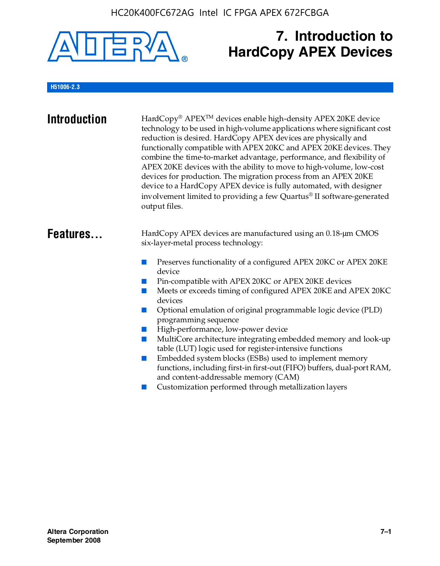

# **7. Introduction to HardCopy APEX Devices**

#### **H51006-2.3**

| <b>Introduction</b> | HardCopy® APEX <sup>™</sup> devices enable high-density APEX 20KE device<br>technology to be used in high-volume applications where significant cost<br>reduction is desired. HardCopy APEX devices are physically and<br>functionally compatible with APEX 20KC and APEX 20KE devices. They<br>combine the time-to-market advantage, performance, and flexibility of<br>APEX 20KE devices with the ability to move to high-volume, low-cost<br>devices for production. The migration process from an APEX 20KE<br>device to a HardCopy APEX device is fully automated, with designer<br>involvement limited to providing a few Quartus® II software-generated<br>output files.                                                                                                                                                |
|---------------------|--------------------------------------------------------------------------------------------------------------------------------------------------------------------------------------------------------------------------------------------------------------------------------------------------------------------------------------------------------------------------------------------------------------------------------------------------------------------------------------------------------------------------------------------------------------------------------------------------------------------------------------------------------------------------------------------------------------------------------------------------------------------------------------------------------------------------------|
| Features            | HardCopy APEX devices are manufactured using an 0.18-um CMOS<br>six-layer-metal process technology:<br>Preserves functionality of a configured APEX 20KC or APEX 20KE<br>device<br>Pin-compatible with APEX 20KC or APEX 20KE devices<br>Meets or exceeds timing of configured APEX 20KE and APEX 20KC<br>devices<br>Optional emulation of original programmable logic device (PLD)<br>m.<br>programming sequence<br>High-performance, low-power device<br>MultiCore architecture integrating embedded memory and look-up<br>table (LUT) logic used for register-intensive functions<br>Embedded system blocks (ESBs) used to implement memory<br>m.<br>functions, including first-in first-out (FIFO) buffers, dual-port RAM,<br>and content-addressable memory (CAM)<br>Customization performed through metallization layers |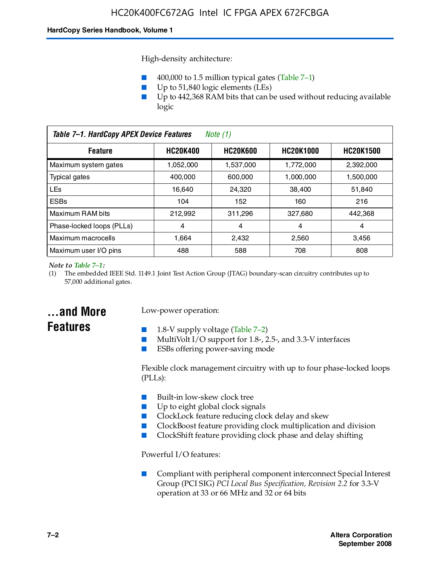High-density architecture:

- 400,000 to 1.5 million typical gates (Table 7–1)
- Up to 51,840 logic elements (LEs)
- Up to 442,368 RAM bits that can be used without reducing available logic

| Table 7-1. HardCopy APEX Device Features<br>Note (1)                                         |           |           |           |           |
|----------------------------------------------------------------------------------------------|-----------|-----------|-----------|-----------|
| <b>HC20K600</b><br><b>HC20K400</b><br><b>HC20K1000</b><br><b>HC20K1500</b><br><b>Feature</b> |           |           |           |           |
| Maximum system gates                                                                         | 1,052,000 | 1,537,000 | 1,772,000 | 2,392,000 |
| Typical gates                                                                                | 400.000   | 600,000   | 1.000.000 | 1,500,000 |
| <b>LEs</b>                                                                                   | 16.640    | 24.320    | 38.400    | 51,840    |
| <b>ESBs</b>                                                                                  | 104       | 152       | 160       | 216       |
| Maximum RAM bits                                                                             | 212.992   | 311,296   | 327,680   | 442,368   |
| Phase-locked loops (PLLs)                                                                    | 4         | 4         | 4         | 4         |
| Maximum macrocells                                                                           | 1.664     | 2,432     | 2,560     | 3,456     |
| Maximum user I/O pins                                                                        | 488       | 588       | 708       | 808       |

#### *Note to Table 7–1:*

(1) The embedded IEEE Std. 1149.1 Joint Test Action Group (JTAG) boundary-scan circuitry contributes up to 57,000 additional gates.

### **...and More Features**

#### Low-power operation:

- 1.8-V supply voltage (Table  $7-2$ )
- MultiVolt I/O support for 1.8-, 2.5-, and 3.3-V interfaces
- ESBs offering power-saving mode

Flexible clock management circuitry with up to four phase-locked loops (PLLs):

- Built-in low-skew clock tree
- Up to eight global clock signals
- ClockLock feature reducing clock delay and skew
- ClockBoost feature providing clock multiplication and division
- ClockShift feature providing clock phase and delay shifting

Powerful I/O features:

■ Compliant with peripheral component interconnect Special Interest Group (PCI SIG) *PCI Local Bus Specification, Revision 2.2* for 3.3-V operation at 33 or 66 MHz and 32 or 64 bits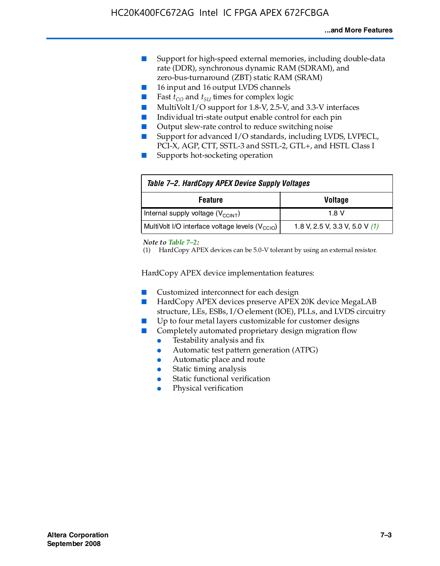- Support for high-speed external memories, including double-data rate (DDR), synchronous dynamic RAM (SDRAM), and zero-bus-turnaround (ZBT) static RAM (SRAM)
- 16 input and 16 output LVDS channels
- Fast  $t_{CO}$  and  $t_{SU}$  times for complex logic
- MultiVolt I/O support for 1.8-V, 2.5-V, and 3.3-V interfaces
- Individual tri-state output enable control for each pin
- Output slew-rate control to reduce switching noise
- Support for advanced I/O standards, including LVDS, LVPECL, PCI-X, AGP, CTT, SSTL-3 and SSTL-2, GTL+, and HSTL Class I
- Supports hot-socketing operation

| Table 7-2. HardCopy APEX Device Supply Voltages             |                                  |
|-------------------------------------------------------------|----------------------------------|
| <b>Voltage</b><br><b>Feature</b>                            |                                  |
| Internal supply voltage (V <sub>CCINT</sub> )               | 1.8 V                            |
| MultiVolt I/O interface voltage levels (V <sub>CCIO</sub> ) | 1.8 V, 2.5 V, 3.3 V, 5.0 V $(1)$ |

#### *Note to Table 7–2:*

(1) HardCopy APEX devices can be 5.0-V tolerant by using an external resistor.

HardCopy APEX device implementation features:

- Customized interconnect for each design
- HardCopy APEX devices preserve APEX 20K device MegaLAB structure, LEs, ESBs, I/O element (IOE), PLLs, and LVDS circuitry
- Up to four metal layers customizable for customer designs
- Completely automated proprietary design migration flow
	- Testability analysis and fix
	- Automatic test pattern generation (ATPG)
	- Automatic place and route
	- Static timing analysis
	- Static functional verification
	- Physical verification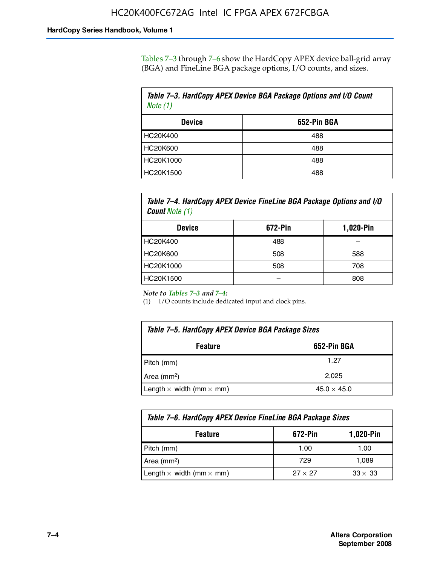Tables 7–3 through 7–6 show the HardCopy APEX device ball-grid array (BGA) and FineLine BGA package options, I/O counts, and sizes.

| Table 7–3. HardCopy APEX Device BGA Package Options and I/O Count<br>Note $(1)$ |     |  |
|---------------------------------------------------------------------------------|-----|--|
| 652-Pin BGA<br><b>Device</b>                                                    |     |  |
| HC20K400                                                                        | 488 |  |
| HC20K600                                                                        | 488 |  |
| HC20K1000                                                                       | 488 |  |
| HC20K1500                                                                       | 488 |  |

*Table 7–4. HardCopy APEX Device FineLine BGA Package Options and I/O Count Note (1)*

| <b>Device</b>   | 672-Pin | 1,020-Pin |
|-----------------|---------|-----------|
| HC20K400        | 488     |           |
| <b>HC20K600</b> | 508     | 588       |
| HC20K1000       | 508     | 708       |
| HC20K1500       |         | 808       |

*Note to Tables 7–3 and 7–4:*

(1) I/O counts include dedicated input and clock pins.

| Table 7–5. HardCopy APEX Device BGA Package Sizes |                    |  |
|---------------------------------------------------|--------------------|--|
| 652-Pin BGA<br><b>Feature</b>                     |                    |  |
| Pitch (mm)                                        | 1.27               |  |
| Area $(mm2)$                                      | 2.025              |  |
| Length $\times$ width (mm $\times$ mm)            | $45.0 \times 45.0$ |  |

| Table 7–6. HardCopy APEX Device FineLine BGA Package Sizes |                |                |  |
|------------------------------------------------------------|----------------|----------------|--|
| 1,020-Pin<br>672-Pin<br><b>Feature</b>                     |                |                |  |
| Pitch (mm)                                                 | 1.00           | 1.00           |  |
| Area $(mm2)$                                               | 729            | 1,089          |  |
| Length $\times$ width (mm $\times$ mm)                     | $27 \times 27$ | $33 \times 33$ |  |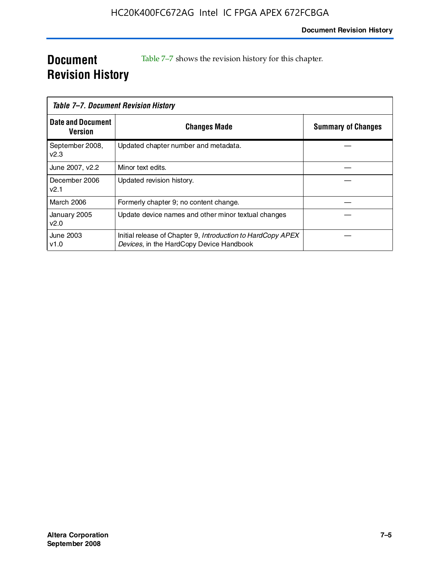### **Document Revision History**

Table 7–7 shows the revision history for this chapter.

| Table 7–7. Document Revision History |                                                                                                         |                           |
|--------------------------------------|---------------------------------------------------------------------------------------------------------|---------------------------|
| <b>Date and Document</b><br>Version  | <b>Changes Made</b>                                                                                     | <b>Summary of Changes</b> |
| September 2008,<br>v2.3              | Updated chapter number and metadata.                                                                    |                           |
| June 2007, v2.2                      | Minor text edits.                                                                                       |                           |
| December 2006<br>v2.1                | Updated revision history.                                                                               |                           |
| <b>March 2006</b>                    | Formerly chapter 9; no content change.                                                                  |                           |
| January 2005<br>v2.0                 | Update device names and other minor textual changes                                                     |                           |
| June 2003<br>v1.0                    | Initial release of Chapter 9, Introduction to HardCopy APEX<br>Devices, in the HardCopy Device Handbook |                           |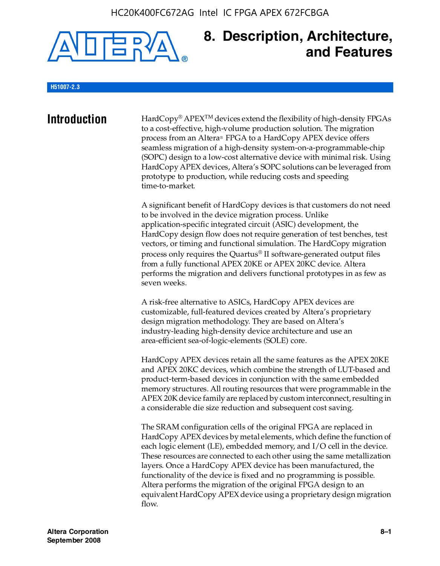

### **8. Description, Architecture, and Features**

#### **H51007-2.3**

**Introduction** HardCopy® APEX<sup>™</sup> devices extend the flexibility of high-density FPGAs to a cost-effective, high-volume production solution. The migration process from an Altera® FPGA to a HardCopy APEX device offers seamless migration of a high-density system-on-a-programmable-chip (SOPC) design to a low-cost alternative device with minimal risk. Using HardCopy APEX devices, Altera's SOPC solutions can be leveraged from prototype to production, while reducing costs and speeding time-to-market.

> A significant benefit of HardCopy devices is that customers do not need to be involved in the device migration process. Unlike application-specific integrated circuit (ASIC) development, the HardCopy design flow does not require generation of test benches, test vectors, or timing and functional simulation. The HardCopy migration process only requires the Quartus® II software-generated output files from a fully functional APEX 20KE or APEX 20KC device. Altera performs the migration and delivers functional prototypes in as few as seven weeks.

A risk-free alternative to ASICs, HardCopy APEX devices are customizable, full-featured devices created by Altera's proprietary design migration methodology. They are based on Altera's industry-leading high-density device architecture and use an area-efficient sea-of-logic-elements (SOLE) core.

HardCopy APEX devices retain all the same features as the APEX 20KE and APEX 20KC devices, which combine the strength of LUT-based and product-term-based devices in conjunction with the same embedded memory structures. All routing resources that were programmable in the APEX 20K device family are replaced by custom interconnect, resulting in a considerable die size reduction and subsequent cost saving.

The SRAM configuration cells of the original FPGA are replaced in HardCopy APEX devices by metal elements, which define the function of each logic element (LE), embedded memory, and I/O cell in the device. These resources are connected to each other using the same metallization layers. Once a HardCopy APEX device has been manufactured, the functionality of the device is fixed and no programming is possible. Altera performs the migration of the original FPGA design to an equivalent HardCopy APEX device using a proprietary design migration flow.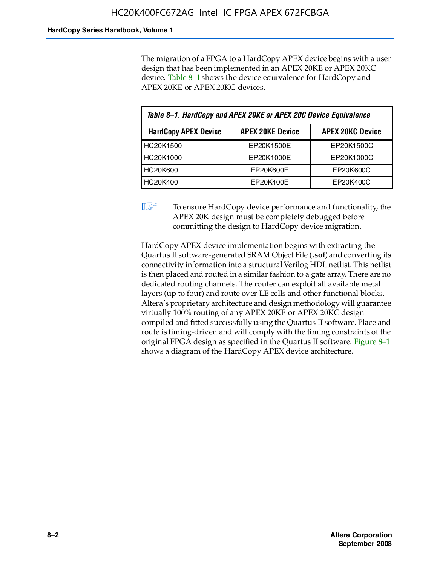The migration of a FPGA to a HardCopy APEX device begins with a user design that has been implemented in an APEX 20KE or APEX 20KC device. Table 8–1 shows the device equivalence for HardCopy and APEX 20KE or APEX 20KC devices.

| Table 8-1. HardCopy and APEX 20KE or APEX 20C Device Equivalence                  |            |            |  |
|-----------------------------------------------------------------------------------|------------|------------|--|
| <b>APEX 20KC Device</b><br><b>HardCopy APEX Device</b><br><b>APEX 20KE Device</b> |            |            |  |
| HC20K1500                                                                         | EP20K1500E | EP20K1500C |  |
| HC20K1000                                                                         | EP20K1000E | EP20K1000C |  |
| <b>HC20K600</b>                                                                   | EP20K600E  | EP20K600C  |  |
| HC20K400                                                                          | EP20K400E  | EP20K400C  |  |

 $\mathbb{I}$  To ensure HardCopy device performance and functionality, the APEX 20K design must be completely debugged before committing the design to HardCopy device migration.

HardCopy APEX device implementation begins with extracting the Quartus II software-generated SRAM Object File (**.sof**) and converting its connectivity information into a structural Verilog HDL netlist. This netlist is then placed and routed in a similar fashion to a gate array. There are no dedicated routing channels. The router can exploit all available metal layers (up to four) and route over LE cells and other functional blocks. Altera's proprietary architecture and design methodology will guarantee virtually 100% routing of any APEX 20KE or APEX 20KC design compiled and fitted successfully using the Quartus II software. Place and route is timing-driven and will comply with the timing constraints of the original FPGA design as specified in the Quartus II software. Figure 8–1 shows a diagram of the HardCopy APEX device architecture.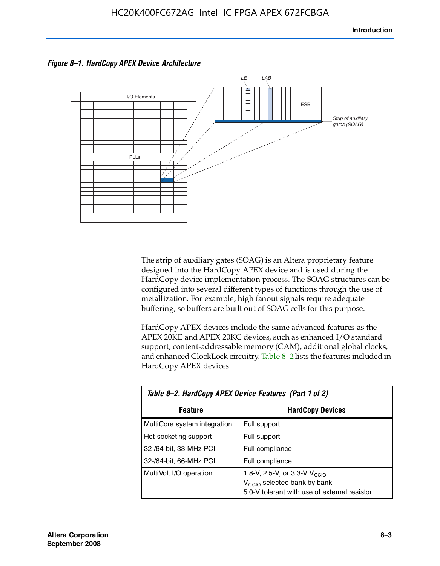



The strip of auxiliary gates (SOAG) is an Altera proprietary feature designed into the HardCopy APEX device and is used during the HardCopy device implementation process. The SOAG structures can be configured into several different types of functions through the use of metallization. For example, high fanout signals require adequate buffering, so buffers are built out of SOAG cells for this purpose.

HardCopy APEX devices include the same advanced features as the APEX 20KE and APEX 20KC devices, such as enhanced I/O standard support, content-addressable memory (CAM), additional global clocks, and enhanced ClockLock circuitry. Table 8–2 lists the features included in HardCopy APEX devices.

| Table 8–2. HardCopy APEX Device Features (Part 1 of 2) |                                                                                                                                     |  |  |
|--------------------------------------------------------|-------------------------------------------------------------------------------------------------------------------------------------|--|--|
| <b>HardCopy Devices</b><br><b>Feature</b>              |                                                                                                                                     |  |  |
| MultiCore system integration                           | Full support                                                                                                                        |  |  |
| Hot-socketing support                                  | Full support                                                                                                                        |  |  |
| 32-/64-bit, 33-MHz PCI                                 | Full compliance                                                                                                                     |  |  |
| 32-/64-bit, 66-MHz PCI                                 | Full compliance                                                                                                                     |  |  |
| MultiVolt I/O operation                                | 1.8-V, 2.5-V, or 3.3-V $V_{\text{CCIO}}$<br>V <sub>CCIO</sub> selected bank by bank<br>5.0-V tolerant with use of external resistor |  |  |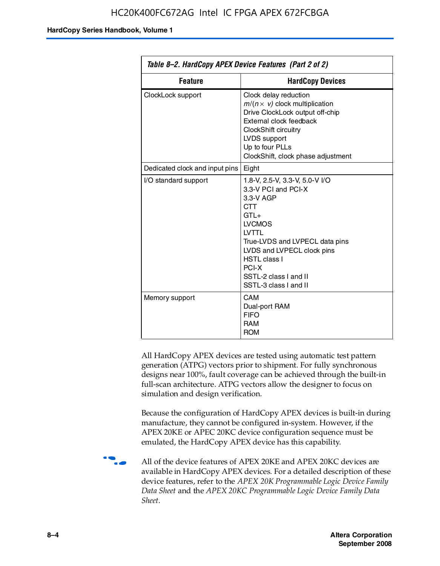| Table 8–2. HardCopy APEX Device Features (Part 2 of 2) |                                                                                                                                                                                                                                                                                |  |
|--------------------------------------------------------|--------------------------------------------------------------------------------------------------------------------------------------------------------------------------------------------------------------------------------------------------------------------------------|--|
| <b>Feature</b><br><b>HardCopy Devices</b>              |                                                                                                                                                                                                                                                                                |  |
| ClockLock support                                      | Clock delay reduction<br>$m/(n \times v)$ clock multiplication<br>Drive ClockLock output off-chip<br>External clock feedback<br>ClockShift circuitry<br>LVDS support<br>Up to four PLLs<br>ClockShift, clock phase adjustment                                                  |  |
| Dedicated clock and input pins                         | Eight                                                                                                                                                                                                                                                                          |  |
| I/O standard support                                   | 1.8-V, 2.5-V, 3.3-V, 5.0-V I/O<br>3.3-V PCI and PCI-X<br>3.3-V AGP<br><b>CTT</b><br>$GTI +$<br><b>LVCMOS</b><br><b>IVTTI</b><br>True-LVDS and LVPECL data pins<br>LVDS and LVPECL clock pins<br><b>HSTL class I</b><br>PCI-X<br>SSTL-2 class I and II<br>SSTL-3 class I and II |  |
| Memory support                                         | CAM<br>Dual-port RAM<br><b>FIFO</b><br><b>RAM</b><br><b>ROM</b>                                                                                                                                                                                                                |  |

All HardCopy APEX devices are tested using automatic test pattern generation (ATPG) vectors prior to shipment. For fully synchronous designs near 100%, fault coverage can be achieved through the built-in full-scan architecture. ATPG vectors allow the designer to focus on simulation and design verification.

Because the configuration of HardCopy APEX devices is built-in during manufacture, they cannot be configured in-system. However, if the APEX 20KE or APEC 20KC device configuration sequence must be emulated, the HardCopy APEX device has this capability.

**f all of the device features of APEX 20KE and APEX 20KC devices are** available in HardCopy APEX devices. For a detailed description of these device features, refer to the *APEX 20K Programmable Logic Device Family Data Sheet* and the *APEX 20KC Programmable Logic Device Family Data Sheet*.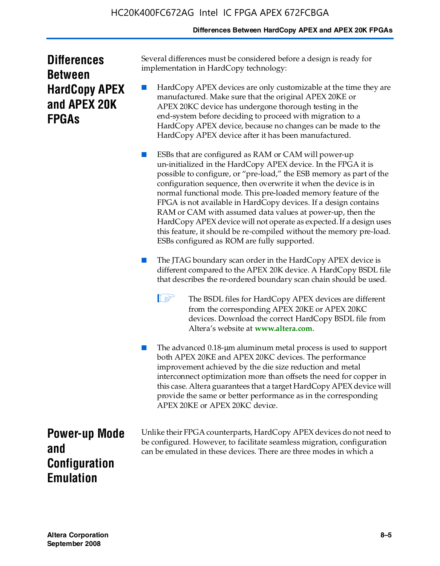#### **Differences Between HardCopy APEX and APEX 20K FPGAs**

| <b>Differences</b>   |
|----------------------|
| <b>Between</b>       |
| <b>HardCopy APEX</b> |
| and APEX 20K         |
| <b>FPGAs</b>         |

Several differences must be considered before a design is ready for implementation in HardCopy technology:

HardCopy APEX devices are only customizable at the time they are manufactured. Make sure that the original APEX 20KE or APEX 20KC device has undergone thorough testing in the end-system before deciding to proceed with migration to a HardCopy APEX device, because no changes can be made to the HardCopy APEX device after it has been manufactured.

ESBs that are configured as RAM or CAM will power-up un-initialized in the HardCopy APEX device. In the FPGA it is possible to configure, or "pre-load," the ESB memory as part of the configuration sequence, then overwrite it when the device is in normal functional mode. This pre-loaded memory feature of the FPGA is not available in HardCopy devices. If a design contains RAM or CAM with assumed data values at power-up, then the HardCopy APEX device will not operate as expected. If a design uses this feature, it should be re-compiled without the memory pre-load. ESBs configured as ROM are fully supported.

The JTAG boundary scan order in the HardCopy APEX device is different compared to the APEX 20K device. A HardCopy BSDL file that describes the re-ordered boundary scan chain should be used.

**1 The BSDL files for HardCopy APEX devices are different** from the corresponding APEX 20KE or APEX 20KC devices. Download the correct HardCopy BSDL file from Altera's website at **[www.altera.com](http://www.altera.com)**.

The advanced 0.18-μm aluminum metal process is used to support both APEX 20KE and APEX 20KC devices. The performance improvement achieved by the die size reduction and metal interconnect optimization more than offsets the need for copper in this case. Altera guarantees that a target HardCopy APEX device will provide the same or better performance as in the corresponding APEX 20KE or APEX 20KC device.

**Power-up Mode and Configuration Emulation**

Unlike their FPGA counterparts, HardCopy APEX devices do not need to be configured. However, to facilitate seamless migration, configuration can be emulated in these devices. There are three modes in which a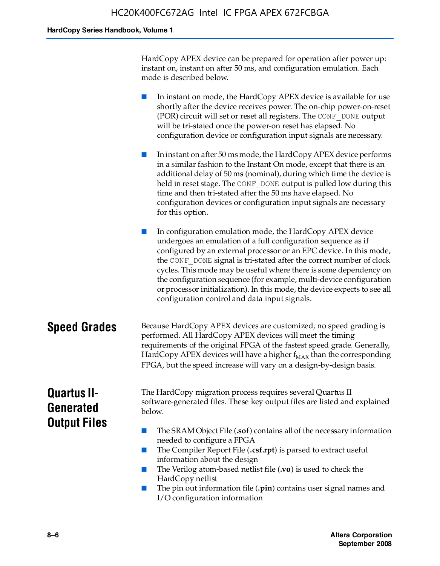HardCopy APEX device can be prepared for operation after power up: instant on, instant on after 50 ms, and configuration emulation. Each mode is described below.

■ In instant on mode, the HardCopy APEX device is available for use shortly after the device receives power. The on-chip power-on-reset (POR) circuit will set or reset all registers. The CONF\_DONE output will be tri-stated once the power-on reset has elapsed. No configuration device or configuration input signals are necessary.

In instant on after 50 ms mode, the HardCopy APEX device performs in a similar fashion to the Instant On mode, except that there is an additional delay of 50 ms (nominal), during which time the device is held in reset stage. The CONF DONE output is pulled low during this time and then tri-stated after the 50 ms have elapsed. No configuration devices or configuration input signals are necessary for this option.

In configuration emulation mode, the HardCopy APEX device undergoes an emulation of a full configuration sequence as if configured by an external processor or an EPC device. In this mode, the CONF\_DONE signal is tri-stated after the correct number of clock cycles. This mode may be useful where there is some dependency on the configuration sequence (for example, multi-device configuration or processor initialization). In this mode, the device expects to see all configuration control and data input signals.

#### **Speed Grades** Because HardCopy APEX devices are customized, no speed grading is performed. All HardCopy APEX devices will meet the timing requirements of the original FPGA of the fastest speed grade. Generally, HardCopy APEX devices will have a higher  $f_{MAX}$  than the corresponding FPGA, but the speed increase will vary on a design-by-design basis.

### **Quartus II-Generated Output Files**

The HardCopy migration process requires several Quartus II software-generated files. These key output files are listed and explained below.

- The SRAM Object File (**.sof**) contains all of the necessary information needed to configure a FPGA
- The Compiler Report File (.csf.rpt) is parsed to extract useful information about the design
- The Verilog atom-based netlist file (**.vo**) is used to check the HardCopy netlist
- The pin out information file (**.pin**) contains user signal names and I/O configuration information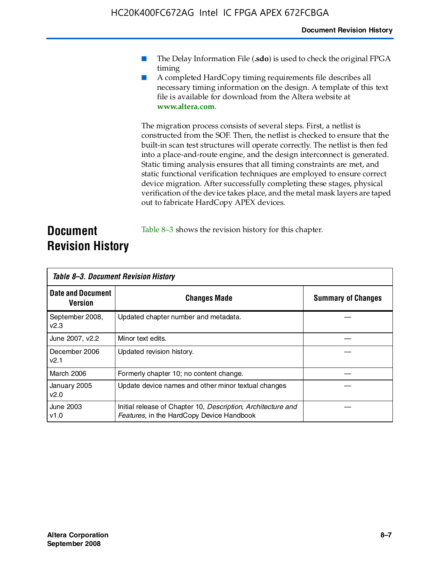- The Delay Information File (.sdo) is used to check the original FPGA timing
- A completed HardCopy timing requirements file describes all necessary timing information on the design. A template of this text file is available for download from the Altera website at **www.altera.com**.

The migration process consists of several steps. First, a netlist is constructed from the SOF. Then, the netlist is checked to ensure that the built-in scan test structures will operate correctly. The netlist is then fed into a place-and-route engine, and the design interconnect is generated. Static timing analysis ensures that all timing constraints are met, and static functional verification techniques are employed to ensure correct device migration. After successfully completing these stages, physical verification of the device takes place, and the metal mask layers are taped out to fabricate HardCopy APEX devices.

#### **Document Revision History** Table 8–3 shows the revision history for this chapter.

| Table 8–3. Document Revision History |                                                                                                           |                           |  |  |
|--------------------------------------|-----------------------------------------------------------------------------------------------------------|---------------------------|--|--|
| <b>Date and Document</b><br>Version  | <b>Changes Made</b>                                                                                       | <b>Summary of Changes</b> |  |  |
| September 2008,<br>V <sub>2.3</sub>  | Updated chapter number and metadata.                                                                      |                           |  |  |
| June 2007, v2.2                      | Minor text edits.                                                                                         |                           |  |  |
| December 2006<br>v2.1                | Updated revision history.                                                                                 |                           |  |  |
| March 2006                           | Formerly chapter 10; no content change.                                                                   |                           |  |  |
| January 2005<br>v2.0                 | Update device names and other minor textual changes                                                       |                           |  |  |
| <b>June 2003</b><br>v1.0             | Initial release of Chapter 10, Description, Architecture and<br>Features, in the HardCopy Device Handbook |                           |  |  |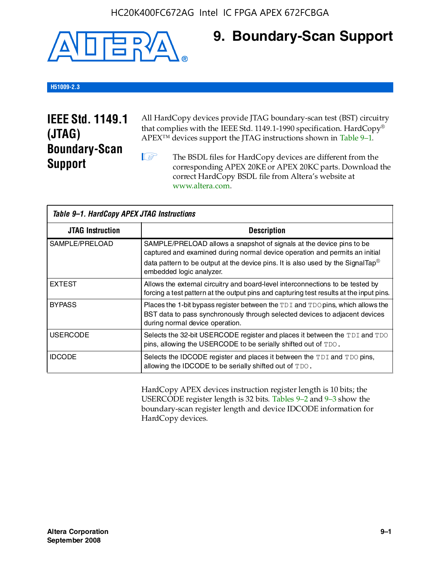

### **9. Boundary-Scan Support**

#### **H51009-2.3**

### **IEEE Std. 1149.1 (JTAG) Boundary-Scan Support**

All HardCopy devices provide JTAG boundary-scan test (BST) circuitry that complies with the IEEE Std. 1149.1-1990 specification. HardCopy® APEX™ devices support the JTAG instructions shown in Table 9–1.

**1 The BSDL files for HardCopy devices are different from the** corresponding APEX 20KE or APEX 20KC parts. Download the [correct HardCopy BSDL file from Altera's website at](http://www.altera.com)  www.altera.com.

| Table 9-1. HardCopy APEX JTAG Instructions |                                                                                                                                                                                                                                                                                |  |  |  |
|--------------------------------------------|--------------------------------------------------------------------------------------------------------------------------------------------------------------------------------------------------------------------------------------------------------------------------------|--|--|--|
| <b>JTAG Instruction</b>                    | <b>Description</b>                                                                                                                                                                                                                                                             |  |  |  |
| SAMPLE/PRELOAD                             | SAMPLE/PRELOAD allows a snapshot of signals at the device pins to be<br>captured and examined during normal device operation and permits an initial<br>data pattern to be output at the device pins. It is also used by the SignalTap <sup>®</sup><br>embedded logic analyzer. |  |  |  |
| <b>EXTEST</b>                              | Allows the external circuitry and board-level interconnections to be tested by<br>forcing a test pattern at the output pins and capturing test results at the input pins.                                                                                                      |  |  |  |
| <b>BYPASS</b>                              | Places the 1-bit bypass register between the TDI and TDO pins, which allows the<br>BST data to pass synchronously through selected devices to adjacent devices<br>during normal device operation.                                                                              |  |  |  |
| <b>USERCODE</b>                            | Selects the 32-bit USERCODE register and places it between the TDI and TDO<br>pins, allowing the USERCODE to be serially shifted out of TDO.                                                                                                                                   |  |  |  |
| <b>IDCODE</b>                              | Selects the IDCODE register and places it between the TDI and TDO pins,<br>allowing the IDCODE to be serially shifted out of TDO.                                                                                                                                              |  |  |  |

HardCopy APEX devices instruction register length is 10 bits; the USERCODE register length is 32 bits. Tables 9–2 and 9–3 show the boundary-scan register length and device IDCODE information for HardCopy devices.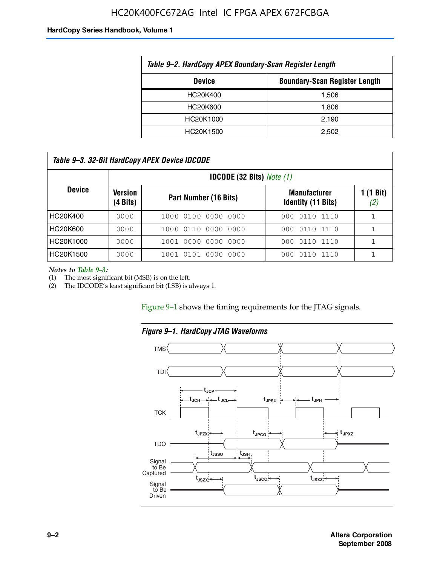#### HC20K400FC672AG Intel IC FPGA APEX 672FCBGA

#### **HardCopy Series Handbook, Volume 1**

| Table 9-2. HardCopy APEX Boundary-Scan Register Length |       |  |  |  |
|--------------------------------------------------------|-------|--|--|--|
| <b>Boundary-Scan Register Length</b><br><b>Device</b>  |       |  |  |  |
| HC20K400                                               | 1,506 |  |  |  |
| HC20K600                                               | 1,806 |  |  |  |
| HC20K1000                                              | 2,190 |  |  |  |
| HC20K1500                                              | 2.502 |  |  |  |

| Table 9–3. 32-Bit HardCopy APEX Device IDCODE |                     |                                         |                                                  |                  |  |  |  |
|-----------------------------------------------|---------------------|-----------------------------------------|--------------------------------------------------|------------------|--|--|--|
|                                               |                     | <b>IDCODE (32 Bits)</b> <i>Note (1)</i> |                                                  |                  |  |  |  |
| <b>Device</b>                                 | Version<br>(4 Bits) | Part Number (16 Bits)                   | <b>Manufacturer</b><br><b>Identity (11 Bits)</b> | 1 (1 Bit)<br>(2) |  |  |  |
| HC20K400                                      | 0000                | 1000 0100 0000 0000                     | 0110 1110<br>000                                 |                  |  |  |  |
| HC20K600                                      | 0000                | 1000 0110 0000 0000                     | 000 0110 1110                                    |                  |  |  |  |
| HC20K1000                                     | 0000                | 1001 0000 0000 0000                     | 000 0110 1110                                    |                  |  |  |  |
| HC20K1500                                     | 0000                | 1001 0101 0000<br>0000                  | 0110 1110<br>000                                 |                  |  |  |  |

*Notes to Table 9–3:*

(1) The most significant bit (MSB) is on the left.

(2) The IDCODE's least significant bit (LSB) is always 1.

Figure 9–1 shows the timing requirements for the JTAG signals.



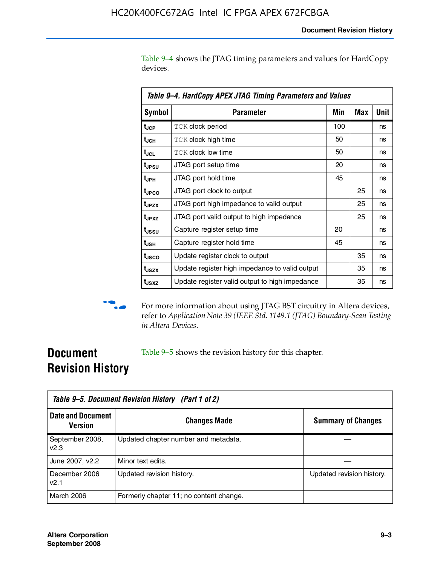Table 9–4 shows the JTAG timing parameters and values for HardCopy devices.

| Table 9–4. HardCopy APEX JTAG Timing Parameters and Values |                                                |     |     |      |  |
|------------------------------------------------------------|------------------------------------------------|-----|-----|------|--|
| <b>Symbol</b>                                              | Parameter                                      | Min | Max | Unit |  |
| t <sub>JCP</sub>                                           | <b>TCK clock period</b>                        | 100 |     | ns   |  |
| t <sub>JCH</sub>                                           | <b>TCK clock high time</b>                     | 50  |     | ns   |  |
| t <sub>JCL</sub>                                           | <b>TCK clock low time</b>                      | 50  |     | ns   |  |
| t <sub>JPSU</sub>                                          | JTAG port setup time                           | 20  |     | ns   |  |
| t <sub>JPH</sub>                                           | JTAG port hold time                            | 45  |     | ns   |  |
| t <sub>JPCO</sub>                                          | JTAG port clock to output                      |     | 25  | ns   |  |
| t <sub>JPZX</sub>                                          | JTAG port high impedance to valid output       |     | 25  | ns   |  |
| t <sub>JPXZ</sub>                                          | JTAG port valid output to high impedance       |     | 25  | ns   |  |
| t <sub>ussu</sub>                                          | Capture register setup time                    | 20  |     | ns   |  |
| t <sub>JSH</sub>                                           | Capture register hold time                     | 45  |     | ns   |  |
| t <sub>JSCO</sub>                                          | Update register clock to output                |     | 35  | ns   |  |
| t <sub>JSZX</sub>                                          | Update register high impedance to valid output |     | 35  | ns   |  |
| t <sub>JSXZ</sub>                                          | Update register valid output to high impedance |     | 35  | ns   |  |



**f** For more information about using JTAG BST circuitry in Altera devices, refer to *Application Note 39 (IEEE Std. 1149.1 (JTAG) Boundary-Scan Testing in Altera Devices*.

### **Document Revision History**

Table 9–5 shows the revision history for this chapter.

|                                            | Table 9–5. Document Revision History (Part 1 of 2) |                           |  |  |  |
|--------------------------------------------|----------------------------------------------------|---------------------------|--|--|--|
| <b>Date and Document</b><br><b>Version</b> | <b>Changes Made</b>                                | <b>Summary of Changes</b> |  |  |  |
| September 2008,<br>V <sub>2.3</sub>        | Updated chapter number and metadata.               |                           |  |  |  |
| June 2007, v2.2                            | Minor text edits.                                  |                           |  |  |  |
| December 2006<br>v2.1                      | Updated revision history.                          | Updated revision history. |  |  |  |
| March 2006                                 | Formerly chapter 11; no content change.            |                           |  |  |  |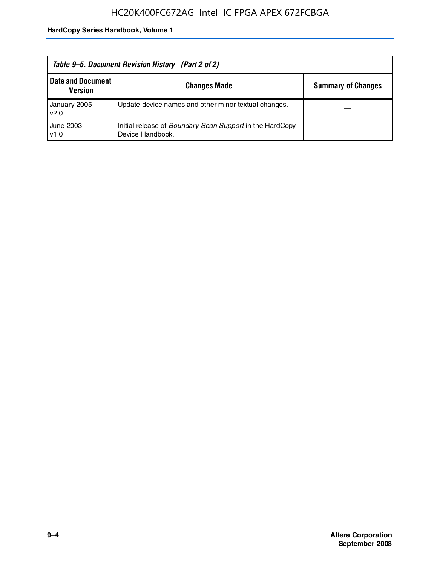| Table 9–5. Document Revision History (Part 2 of 2) |                                                                                     |                           |  |
|----------------------------------------------------|-------------------------------------------------------------------------------------|---------------------------|--|
| <b>Date and Document</b><br><b>Version</b>         | <b>Changes Made</b>                                                                 | <b>Summary of Changes</b> |  |
| January 2005<br>v2.0                               | Update device names and other minor textual changes.                                |                           |  |
| June 2003<br>v1.0                                  | Initial release of <i>Boundary-Scan Support</i> in the HardCopy<br>Device Handbook. |                           |  |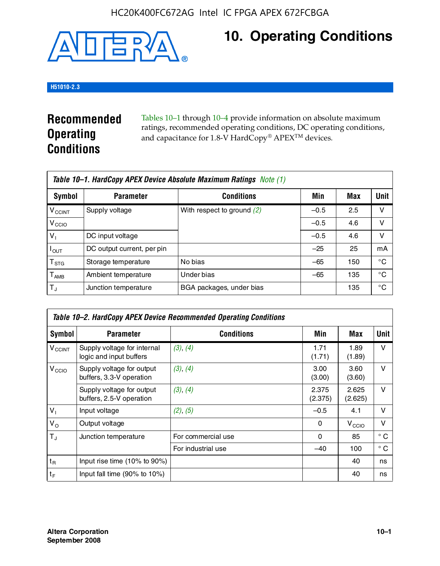

# **10. Operating Conditions**

#### **H51010-2.3**

### **Recommended Operating Conditions**

Tables 10–1 through 10–4 provide information on absolute maximum ratings, recommended operating conditions, DC operating conditions, and capacitance for 1.8-V HardCopy® APEX<sup>TM</sup> devices.

| Table 10–1. HardCopy APEX Device Absolute Maximum Ratings Note (1) |                            |                              |        |     |             |  |
|--------------------------------------------------------------------|----------------------------|------------------------------|--------|-----|-------------|--|
| Symbol                                                             | <b>Parameter</b>           | <b>Conditions</b>            | Min    | Max | <b>Unit</b> |  |
| <b>V<sub>CCINT</sub></b>                                           | Supply voltage             | With respect to ground $(2)$ | $-0.5$ | 2.5 | v           |  |
| V <sub>CCIO</sub>                                                  |                            |                              | $-0.5$ | 4.6 | v           |  |
| $V_1$                                                              | DC input voltage           |                              | $-0.5$ | 4.6 | ν           |  |
| $I_{\mathsf{OUT}}$                                                 | DC output current, per pin |                              | $-25$  | 25  | mA          |  |
| $\mathsf{T}_{\text{STG}}$                                          | Storage temperature        | No bias                      | $-65$  | 150 | °C          |  |
| $T_{\sf AMB}$                                                      | Ambient temperature        | Under bias                   | $-65$  | 135 | °C          |  |
| $\mathsf{T}_A$                                                     | Junction temperature       | BGA packages, under bias     |        | 135 | °C          |  |

| Table 10–2. HardCopy APEX Device Recommended Operating Conditions |                                                        |                    |                  |                   |              |  |  |
|-------------------------------------------------------------------|--------------------------------------------------------|--------------------|------------------|-------------------|--------------|--|--|
| Symbol                                                            | <b>Parameter</b>                                       | <b>Conditions</b>  | Min              | Max               | Unit         |  |  |
| $V_{\text{CCINT}}$                                                | Supply voltage for internal<br>logic and input buffers | (3), (4)           | 1.71<br>(1.71)   | 1.89<br>(1.89)    | $\vee$       |  |  |
| V <sub>CCIO</sub>                                                 | Supply voltage for output<br>buffers, 3.3-V operation  | (3), (4)           | 3.00<br>(3.00)   | 3.60<br>(3.60)    | $\vee$       |  |  |
|                                                                   | Supply voltage for output<br>buffers, 2.5-V operation  | (3), (4)           | 2.375<br>(2.375) | 2.625<br>(2.625)  | $\vee$       |  |  |
| $V_1$                                                             | Input voltage                                          | (2), (5)           | $-0.5$           | 4.1               | $\vee$       |  |  |
| $V_{\rm O}$                                                       | Output voltage                                         |                    | 0                | V <sub>CCIO</sub> | $\vee$       |  |  |
| $T_{\rm J}$                                                       | Junction temperature                                   | For commercial use | 0                | 85                | $^{\circ}$ C |  |  |
|                                                                   |                                                        | For industrial use | $-40$            | 100               | $^{\circ}$ C |  |  |
| $t_{R}$                                                           | Input rise time (10% to 90%)                           |                    |                  | 40                | ns           |  |  |
| $t_F$                                                             | Input fall time $(90\% \text{ to } 10\%)$              |                    |                  | 40                | ns           |  |  |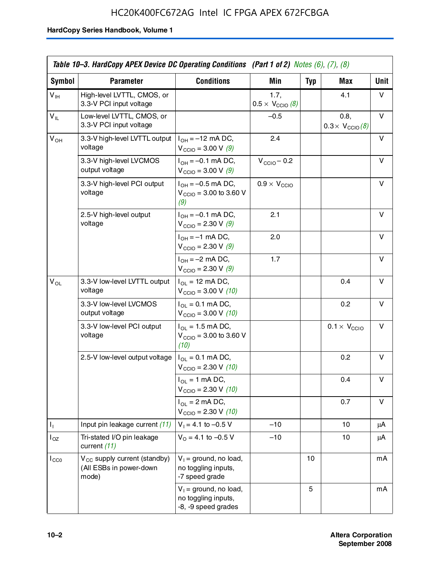### HC20K400FC672AG Intel IC FPGA APEX 672FCBGA

|                 | Table 10–3. HardCopy APEX Device DC Operating Conditions (Part 1 of 2) Notes $(6)$ , $(7)$ , $(8)$ |                                                                        |                                          |            |                                         |             |
|-----------------|----------------------------------------------------------------------------------------------------|------------------------------------------------------------------------|------------------------------------------|------------|-----------------------------------------|-------------|
| Symbol          | <b>Parameter</b>                                                                                   | <b>Conditions</b>                                                      | Min                                      | <b>Typ</b> | Max                                     | <b>Unit</b> |
| $V_{\text{IH}}$ | High-level LVTTL, CMOS, or<br>3.3-V PCI input voltage                                              |                                                                        | 1.7,<br>$0.5 \times V_{\text{CCIO}}$ (8) |            | 4.1                                     | V           |
| $V_{IL}$        | Low-level LVTTL, CMOS, or<br>3.3-V PCI input voltage                                               |                                                                        | $-0.5$                                   |            | 0.8,<br>$0.3 \times V_{\text{CCIO}}(8)$ | v           |
| $V_{OH}$        | 3.3-V high-level LVTTL output<br>voltage                                                           | $I_{OH} = -12$ mA DC,<br>$V_{\text{CCIO}} = 3.00 \text{ V} (9)$        | 2.4                                      |            |                                         | v           |
|                 | 3.3-V high-level LVCMOS<br>output voltage                                                          | $I_{OH} = -0.1$ mA DC,<br>$V_{\text{CCIO}} = 3.00 V (9)$               | $V_{\text{CCIO}} - 0.2$                  |            |                                         | v           |
|                 | 3.3-V high-level PCI output<br>voltage                                                             | $I_{OH} = -0.5$ mA DC,<br>$V_{\text{CCIO}} = 3.00$ to 3.60 V<br>(9)    | $0.9 \times V_{\text{CCIO}}$             |            |                                         | v           |
|                 | 2.5-V high-level output<br>voltage                                                                 | $I_{OH} = -0.1$ mA DC,<br>$V_{\text{CCIO}} = 2.30 V (9)$               | 2.1                                      |            |                                         | v           |
|                 |                                                                                                    | $I_{OH} = -1$ mA DC,<br>$V_{\text{CCIO}} = 2.30 \text{ V} (9)$         | 2.0                                      |            |                                         | v           |
|                 |                                                                                                    | $I_{OH} = -2$ mA DC,<br>$V_{\text{CCIO}} = 2.30 \text{ V} (9)$         | 1.7                                      |            |                                         | v           |
| $V_{OL}$        | 3.3-V low-level LVTTL output<br>voltage                                                            | $I_{OL}$ = 12 mA DC,<br>$V_{\text{CCIO}} = 3.00 V (10)$                |                                          |            | 0.4                                     | v           |
|                 | 3.3-V low-level LVCMOS<br>output voltage                                                           | $I_{OL} = 0.1$ mA DC,<br>$V_{\text{CCIO}} = 3.00 \text{ V} (10)$       |                                          |            | 0.2                                     | v           |
|                 | 3.3-V low-level PCI output<br>voltage                                                              | $I_{OL}$ = 1.5 mA DC,<br>$V_{\text{CCIO}} = 3.00$ to 3.60 V<br>(10)    |                                          |            | $0.1 \times V_{\text{CCIO}}$            | v           |
|                 | 2.5-V low-level output voltage                                                                     | $I_{OL} = 0.1$ mA DC,<br>$V_{\text{CCIO}} = 2.30 \text{ V} (10)$       |                                          |            | 0.2                                     | v           |
|                 |                                                                                                    | $I_{OL}$ = 1 mA DC,<br>$V_{\text{CCIO}} = 2.30 V (10)$                 |                                          |            | 0.4                                     | v           |
|                 |                                                                                                    | $I_{OL}$ = 2 mA DC,<br>$V_{\text{CCIO}} = 2.30 \text{ V} (10)$         |                                          |            | 0.7                                     | v           |
| Ъ.              | Input pin leakage current (11)                                                                     | $V_1 = 4.1$ to -0.5 V                                                  | -10                                      |            | 10                                      | μA          |
| $I_{OZ}$        | Tri-stated I/O pin leakage<br>current (11)                                                         | $V_0 = 4.1$ to -0.5 V                                                  | $-10$                                    |            | 10                                      | μA          |
| $I_{CC0}$       | $V_{CC}$ supply current (standby)<br>(All ESBs in power-down<br>mode)                              | $V_1$ = ground, no load,<br>no toggling inputs,<br>-7 speed grade      |                                          | 10         |                                         | mA          |
|                 |                                                                                                    | $V_1$ = ground, no load,<br>no toggling inputs,<br>-8, -9 speed grades |                                          | 5          |                                         | mA          |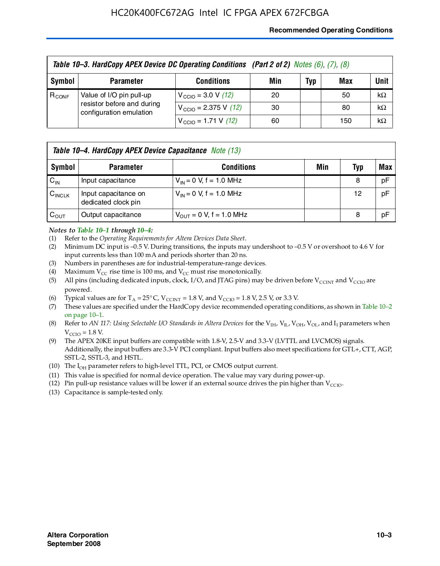#### **Recommended Operating Conditions**

|            | Table 10-3. HardCopy APEX Device DC Operating Conditions (Part 2 of 2) Notes (6), (7), (8) |                                          |     |     |     |           |  |  |
|------------|--------------------------------------------------------------------------------------------|------------------------------------------|-----|-----|-----|-----------|--|--|
| Symbol     | <b>Parameter</b>                                                                           | <b>Conditions</b>                        | Min | Typ | Max | Unit      |  |  |
| $R_{CONF}$ | Value of I/O pin pull-up                                                                   | $V_{\text{CCIO}} = 3.0 V (12)$           | 20  |     | 50  | $k\Omega$ |  |  |
|            | resistor before and during<br>configuration emulation                                      | $V_{\text{CCIO}} = 2.375 \text{ V}$ (12) | 30  |     | 80  | $k\Omega$ |  |  |
|            |                                                                                            | $V_{\text{CCIO}} = 1.71 \text{ V}$ (12)  | 60  |     | 150 | $k\Omega$ |  |  |

|                    | <b>Table 10–4. HardCopy APEX Device Capacitance</b> Note (13) |                              |     |     |     |  |
|--------------------|---------------------------------------------------------------|------------------------------|-----|-----|-----|--|
| Symbol             | <b>Parameter</b>                                              | <b>Conditions</b>            | Min | Typ | Max |  |
| $C_{\text{IN}}$    | Input capacitance                                             | $V_{IN} = 0$ V, f = 1.0 MHz  |     | 8   | pF  |  |
| $C_{\text{INCLK}}$ | Input capacitance on<br>dedicated clock pin                   | $V_{IN} = 0$ V, f = 1.0 MHz  |     | 12  | pF  |  |
| $C_{\text{OUT}}$   | Output capacitance                                            | $V_{OUT} = 0$ V, f = 1.0 MHz |     | 8   | pF  |  |

#### *Notes to Table 10–1 through 10–4:*

- (1) Refer to the *Operating Requirements for Altera Devices Data Sheet*.
- (2) Minimum DC input is –0.5 V. During transitions, the inputs may undershoot to –0.5 V or overshoot to 4.6 V for input currents less than 100 mA and periods shorter than 20 ns.
- (3) Numbers in parentheses are for industrial-temperature-range devices.
- (4) Maximum  $V_{CC}$  rise time is 100 ms, and  $V_{CC}$  must rise monotonically.
- (5) All pins (including dedicated inputs, clock, I/O, and JTAG pins) may be driven before  $V_{\text{CCINT}}$  and  $V_{\text{CCIO}}$  are powered.
- (6) Typical values are for  $T_A = 25^{\circ}$  C,  $V_{CCTNT} = 1.8$  V, and  $V_{CCTO} = 1.8$  V, 2.5 V, or 3.3 V.
- (7) These values are specified under the HardCopy device recommended operating conditions, as shown in Table 10–2 on page 10–1.
- (8) Refer to *AN 117: Using Selectable I/O Standards in Altera Devices* for the V<sub>IH</sub>, V<sub>IL</sub>, V<sub>OH</sub>, V<sub>OL</sub>, and I<sub>I</sub> parameters when  $V_{\text{CCIO}} = 1.8 \text{ V}$ .
- (9) The APEX 20KE input buffers are compatible with 1.8-V, 2.5-V and 3.3-V (LVTTL and LVCMOS) signals. Additionally, the input buffers are 3.3-V PCI compliant. Input buffers also meet specifications for GTL+, CTT, AGP, SSTL-2, SSTL-3, and HSTL.
- (10) The  $I_{OH}$  parameter refers to high-level TTL, PCI, or CMOS output current.
- (11) This value is specified for normal device operation. The value may vary during power-up.
- (12) Pin pull-up resistance values will be lower if an external source drives the pin higher than  $V_{CCIO}$ .
- (13) Capacitance is sample-tested only.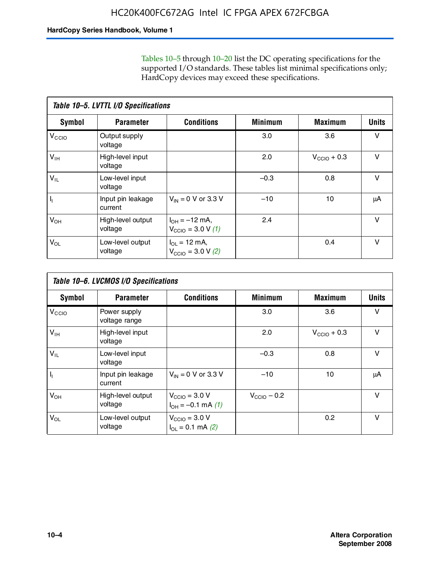Tables 10–5 through 10–20 list the DC operating specifications for the supported I/O standards. These tables list minimal specifications only; HardCopy devices may exceed these specifications.

|                   | Table 10-5. LVTTL I/O Specifications |                                                                 |                |                         |              |  |  |  |  |
|-------------------|--------------------------------------|-----------------------------------------------------------------|----------------|-------------------------|--------------|--|--|--|--|
| <b>Symbol</b>     | <b>Parameter</b>                     | <b>Conditions</b>                                               | <b>Minimum</b> | <b>Maximum</b>          | <b>Units</b> |  |  |  |  |
| V <sub>CCIO</sub> | Output supply<br>voltage             |                                                                 | 3.0            | 3.6                     | v            |  |  |  |  |
| $V_{\text{IH}}$   | High-level input<br>voltage          |                                                                 | 2.0            | $V_{\text{CCIO}} + 0.3$ | v            |  |  |  |  |
| $V_{IL}$          | Low-level input<br>voltage           |                                                                 | $-0.3$         | 0.8                     | v            |  |  |  |  |
| J,                | Input pin leakage<br>current         | $V_{IN} = 0$ V or 3.3 V                                         | $-10$          | 10                      | μA           |  |  |  |  |
| $V_{OH}$          | High-level output<br>voltage         | $I_{OH} = -12$ mA,<br>$V_{\text{CCIO}} = 3.0 V (1)$             | 2.4            |                         | v            |  |  |  |  |
| $V_{OL}$          | Low-level output<br>voltage          | $I_{\Omega I} = 12 \text{ mA}$<br>$V_{\text{CCIO}} = 3.0 V (2)$ |                | 0.4                     | $\vee$       |  |  |  |  |

|                   | Table 10-6. LVCMOS I/O Specifications |                                                           |                         |                         |              |  |  |  |  |
|-------------------|---------------------------------------|-----------------------------------------------------------|-------------------------|-------------------------|--------------|--|--|--|--|
| <b>Symbol</b>     | <b>Parameter</b>                      | <b>Conditions</b>                                         | <b>Minimum</b>          | <b>Maximum</b>          | <b>Units</b> |  |  |  |  |
| V <sub>CCIO</sub> | Power supply<br>voltage range         |                                                           | 3.0                     | 3.6                     | v            |  |  |  |  |
| $V_{\text{IH}}$   | High-level input<br>voltage           |                                                           | 2.0                     | $V_{\text{CCIO}} + 0.3$ | $\vee$       |  |  |  |  |
| $V_{IL}$          | Low-level input<br>voltage            |                                                           | $-0.3$                  | 0.8                     | $\vee$       |  |  |  |  |
| H,                | Input pin leakage<br>current          | $V_{IN} = 0$ V or 3.3 V                                   | $-10$                   | 10                      | μA           |  |  |  |  |
| $V_{OH}$          | High-level output<br>voltage          | $V_{\text{CCIO}} = 3.0 V$<br>$I_{OH} = -0.1$ mA $(1)$     | $V_{\text{CCIO}} - 0.2$ |                         | $\vee$       |  |  |  |  |
| $V_{OL}$          | Low-level output<br>voltage           | $V_{\text{CCIO}} = 3.0 V$<br>$I_{\text{OL}} = 0.1$ mA (2) |                         | 0.2                     | $\vee$       |  |  |  |  |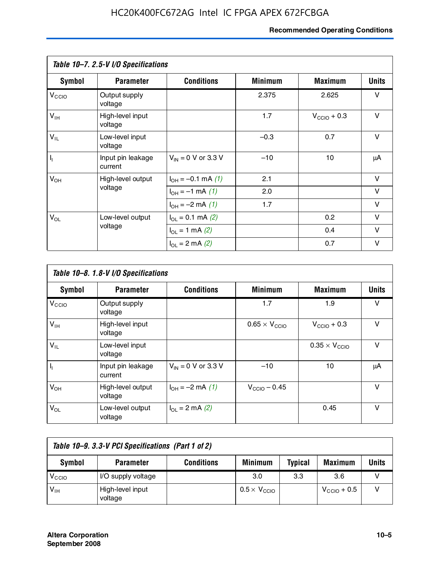#### **Recommended Operating Conditions**

|                   | Table 10-7. 2.5-V I/O Specifications |                             |                |                         |              |
|-------------------|--------------------------------------|-----------------------------|----------------|-------------------------|--------------|
| Symbol            | <b>Parameter</b>                     | <b>Conditions</b>           | <b>Minimum</b> | <b>Maximum</b>          | <b>Units</b> |
| V <sub>CCIO</sub> | Output supply<br>voltage             |                             | 2.375          | 2.625                   | v            |
| $V_{\text{IH}}$   | High-level input<br>voltage          |                             | 1.7            | $V_{\text{CCIO}} + 0.3$ | $\vee$       |
| $V_{IL}$          | Low-level input<br>voltage           |                             | $-0.3$         | 0.7                     | $\vee$       |
| $\mathbf{l}_1$    | Input pin leakage<br>current         | $V_{IN} = 0$ V or 3.3 V     | $-10$          | 10                      | μA           |
| $V_{OH}$          | High-level output                    | $I_{OH} = -0.1$ mA $(1)$    | 2.1            |                         | $\vee$       |
|                   | voltage                              | $I_{OH} = -1$ mA (1)        | 2.0            |                         | V            |
|                   |                                      | $I_{OH} = -2$ mA (1)        | 1.7            |                         | v            |
| $V_{OL}$          | Low-level output                     | $I_{\Omega} = 0.1$ mA $(2)$ |                | 0.2                     | v            |
|                   | voltage                              | $I_{OL} = 1$ mA (2)         |                | 0.4                     | $\vee$       |
|                   |                                      | $I_{OL} = 2$ mA (2)         |                | 0.7                     | v            |

|                   | Table 10-8. 1.8-V I/O Specifications |                         |                               |                               |              |  |  |  |  |
|-------------------|--------------------------------------|-------------------------|-------------------------------|-------------------------------|--------------|--|--|--|--|
| Symbol            | <b>Parameter</b>                     | <b>Conditions</b>       | <b>Minimum</b>                | <b>Maximum</b>                | <b>Units</b> |  |  |  |  |
| $V_{\text{CCIO}}$ | Output supply<br>voltage             |                         | 1.7                           | 1.9                           | $\vee$       |  |  |  |  |
| $V_{\text{IH}}$   | High-level input<br>voltage          |                         | $0.65 \times V_{\text{CCIO}}$ | $V_{\text{CCIO}} + 0.3$       | v            |  |  |  |  |
| $V_{IL}$          | Low-level input<br>voltage           |                         |                               | $0.35 \times V_{\text{CCIO}}$ | $\vee$       |  |  |  |  |
| $\mathbf{l}_{1}$  | Input pin leakage<br>current         | $V_{IN} = 0$ V or 3.3 V | $-10$                         | 10                            | μA           |  |  |  |  |
| $V_{OH}$          | High-level output<br>voltage         | $I_{OH} = -2$ mA (1)    | $V_{\text{CCIO}} - 0.45$      |                               | v            |  |  |  |  |
| $V_{OL}$          | Low-level output<br>voltage          | $I_{\Omega}$ = 2 mA (2) |                               | 0.45                          | $\vee$       |  |  |  |  |

| Table 10-9. 3.3-V PCI Specifications (Part 1 of 2) |                             |                   |                              |                |                         |       |  |
|----------------------------------------------------|-----------------------------|-------------------|------------------------------|----------------|-------------------------|-------|--|
| Symbol                                             | <b>Parameter</b>            | <b>Conditions</b> | <b>Minimum</b>               | <b>Typical</b> | <b>Maximum</b>          | Units |  |
| V <sub>CIO</sub>                                   | I/O supply voltage          |                   | 3.0                          | 3.3            | 3.6                     |       |  |
| $V_{\text{IH}}$                                    | High-level input<br>voltage |                   | $0.5 \times V_{\text{CCIO}}$ |                | $V_{\text{CCIO}} + 0.5$ |       |  |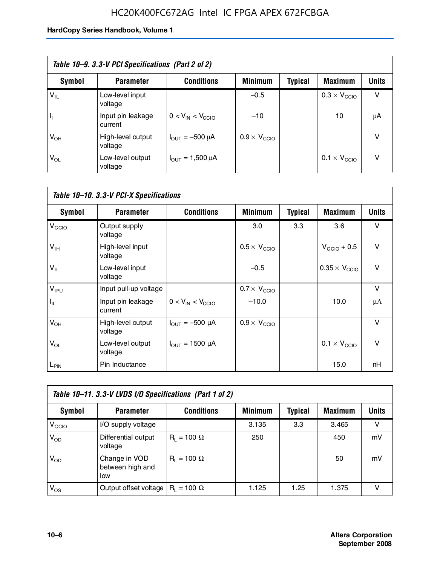### HC20K400FC672AG Intel IC FPGA APEX 672FCBGA

| Table 10–9. 3.3-V PCI Specifications (Part 2 of 2) |                              |                                        |                              |         |                              |              |  |
|----------------------------------------------------|------------------------------|----------------------------------------|------------------------------|---------|------------------------------|--------------|--|
| Symbol                                             | <b>Parameter</b>             | <b>Conditions</b>                      | <b>Minimum</b>               | Typical | <b>Maximum</b>               | <b>Units</b> |  |
| $V_{IL}$                                           | Low-level input<br>voltage   |                                        | $-0.5$                       |         | $0.3 \times V_{\text{CCIO}}$ | v            |  |
|                                                    | Input pin leakage<br>current | $0 < V_{IN} < V_{CCIO}$                | $-10$                        |         | 10                           | μA           |  |
| $V_{OH}$                                           | High-level output<br>voltage | $I_{\text{OUT}} = -500 \mu A$          | $0.9 \times V_{\text{CCIO}}$ |         |                              | v            |  |
| $V_{OL}$                                           | Low-level output<br>voltage  | $I_{\text{OUT}} = 1,500 \,\mu\text{A}$ |                              |         | $0.1 \times V_{\text{CCIO}}$ | v            |  |

| Table 10-10. 3.3-V PCI-X Specifications |                              |                               |                              |                |                               |              |  |
|-----------------------------------------|------------------------------|-------------------------------|------------------------------|----------------|-------------------------------|--------------|--|
| <b>Symbol</b>                           | <b>Parameter</b>             | <b>Conditions</b>             | <b>Minimum</b>               | <b>Typical</b> | <b>Maximum</b>                | <b>Units</b> |  |
| V <sub>CCIO</sub>                       | Output supply<br>voltage     |                               | 3.0                          | 3.3            | 3.6                           | v            |  |
| V <sub>IH</sub>                         | High-level input<br>voltage  |                               | $0.5 \times V_{\text{CCIO}}$ |                | $V_{\text{CCIO}} + 0.5$       | $\vee$       |  |
| $V_{IL}$                                | Low-level input<br>voltage   |                               | $-0.5$                       |                | $0.35 \times V_{\text{CCIO}}$ | $\vee$       |  |
| $V_{IPU}$                               | Input pull-up voltage        |                               | $0.7 \times V_{\text{CCIO}}$ |                |                               | $\vee$       |  |
| $I_{\rm IL}$                            | Input pin leakage<br>current | $0 < V_{IN} < V_{CGIO}$       | $-10.0$                      |                | 10.0                          | μA           |  |
| $V_{OH}$                                | High-level output<br>voltage | $I_{\text{OUT}} = -500 \mu A$ | $0.9 \times V_{\text{CCIO}}$ |                |                               | $\vee$       |  |
| $V_{OL}$                                | Low-level output<br>voltage  | $I_{\text{OUT}} = 1500 \mu A$ |                              |                | $0.1 \times V_{\text{CCIO}}$  | $\vee$       |  |
| L <sub>PIN</sub>                        | Pin Inductance               |                               |                              |                | 15.0                          | nH           |  |

| Table 10-11. 3.3-V LVDS I/O Specifications (Part 1 of 2) |                                           |                    |                |                |                |              |  |
|----------------------------------------------------------|-------------------------------------------|--------------------|----------------|----------------|----------------|--------------|--|
| Symbol                                                   | <b>Parameter</b>                          | <b>Conditions</b>  | <b>Minimum</b> | <b>Typical</b> | <b>Maximum</b> | <b>Units</b> |  |
| V <sub>CIO</sub>                                         | I/O supply voltage                        |                    | 3.135          | 3.3            | 3.465          | v            |  |
| $V_{OD}$                                                 | Differential output<br>voltage            | $R_1 = 100 \Omega$ | 250            |                | 450            | mV           |  |
| $V_{OD}$                                                 | Change in VOD<br>between high and<br>low  | $R_1 = 100 \Omega$ |                |                | 50             | mV           |  |
| $V_{OS}$                                                 | Output offset voltage $ R_1 = 100 \Omega$ |                    | 1.125          | 1.25           | 1.375          |              |  |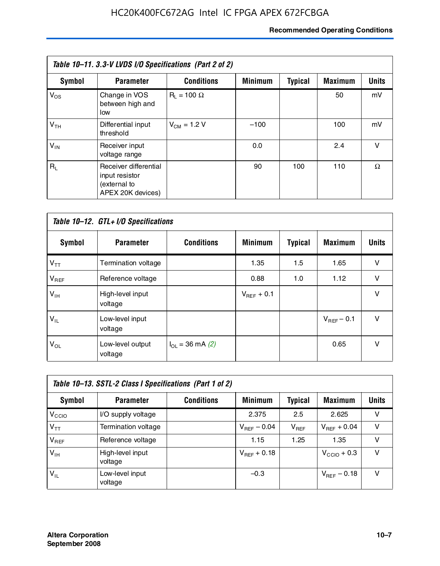#### **Recommended Operating Conditions**

| Table 10-11. 3.3-V LVDS I/O Specifications (Part 2 of 2) |                                                                              |                    |                |                |                |              |
|----------------------------------------------------------|------------------------------------------------------------------------------|--------------------|----------------|----------------|----------------|--------------|
| Symbol                                                   | <b>Parameter</b>                                                             | <b>Conditions</b>  | <b>Minimum</b> | <b>Typical</b> | <b>Maximum</b> | <b>Units</b> |
| $V_{OS}$                                                 | Change in VOS<br>between high and<br>low                                     | $R_1 = 100 \Omega$ |                |                | 50             | mV           |
| V <sub>TH</sub>                                          | Differential input<br>threshold                                              | $V_{CM}$ = 1.2 V   | $-100$         |                | 100            | mV           |
| $V_{IN}$                                                 | Receiver input<br>voltage range                                              |                    | 0.0            |                | 2.4            | v            |
| $R_{\perp}$                                              | Receiver differential<br>input resistor<br>(external to<br>APEX 20K devices) |                    | 90             | 100            | 110            | Ω            |

| Table 10-12. GTL+ I/O Specifications |                             |                          |                 |                |                 |              |  |
|--------------------------------------|-----------------------------|--------------------------|-----------------|----------------|-----------------|--------------|--|
| <b>Symbol</b>                        | <b>Parameter</b>            | <b>Conditions</b>        | <b>Minimum</b>  | <b>Typical</b> | <b>Maximum</b>  | <b>Units</b> |  |
| $V_{TT}$                             | Termination voltage         |                          | 1.35            | 1.5            | 1.65            | v            |  |
| $V_{REF}$                            | Reference voltage           |                          | 0.88            | 1.0            | 1.12            | $\vee$       |  |
| $V_{IH}$                             | High-level input<br>voltage |                          | $V_{REF}$ + 0.1 |                |                 | $\vee$       |  |
| $V_{IL}$                             | Low-level input<br>voltage  |                          |                 |                | $V_{BFF}$ – 0.1 | $\vee$       |  |
| $V_{OL}$                             | Low-level output<br>voltage | $I_{\Omega}$ = 36 mA (2) |                 |                | 0.65            | $\vee$       |  |

| Table 10–13. SSTL-2 Class I Specifications (Part 1 of 2) |                             |                   |                  |           |                         |              |  |
|----------------------------------------------------------|-----------------------------|-------------------|------------------|-----------|-------------------------|--------------|--|
| Symbol                                                   | <b>Parameter</b>            | <b>Conditions</b> | <b>Minimum</b>   | Typical   | <b>Maximum</b>          | <b>Units</b> |  |
| V <sub>CCIO</sub>                                        | I/O supply voltage          |                   | 2.375            | 2.5       | 2.625                   | v            |  |
| $V_{TT}$                                                 | Termination voltage         |                   | $V_{REF}$ – 0.04 | $V_{REF}$ | $V_{REF}$ + 0.04        | v            |  |
| $V_{BEF}$                                                | Reference voltage           |                   | 1.15             | 1.25      | 1.35                    | v            |  |
| $V_{IH}$                                                 | High-level input<br>voltage |                   | $V_{REF}$ + 0.18 |           | $V_{\text{CCIO}} + 0.3$ | v            |  |
| $'V_{IL}$                                                | Low-level input<br>voltage  |                   | $-0.3$           |           | $V_{BFE}$ – 0.18        | v            |  |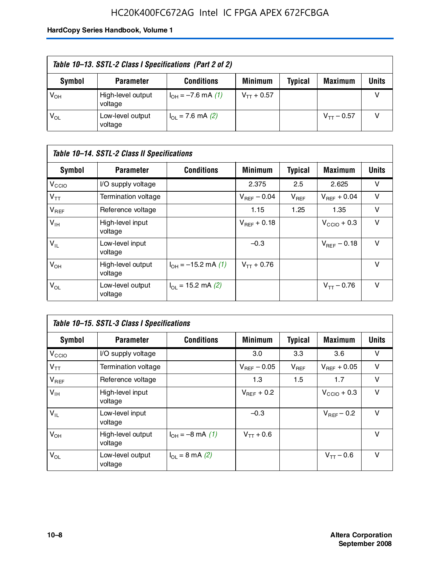### HC20K400FC672AG Intel IC FPGA APEX 672FCBGA

| Table 10–13. SSTL-2 Class I Specifications (Part 2 of 2) |                              |                           |                 |                |                 |              |
|----------------------------------------------------------|------------------------------|---------------------------|-----------------|----------------|-----------------|--------------|
| Symbol                                                   | <b>Parameter</b>             | <b>Conditions</b>         | <b>Minimum</b>  | <b>Typical</b> | <b>Maximum</b>  | <b>Units</b> |
| $V_{OH}$                                                 | High-level output<br>voltage | $I_{OH} = -7.6$ mA (1)    | $V_{TT}$ + 0.57 |                |                 |              |
| $V_{OL}$                                                 | Low-level output<br>voltage  | $I_{\Omega}$ = 7.6 mA (2) |                 |                | $V_{TT}$ – 0.57 |              |

| Table 10–14. SSTL-2 Class II Specifications |                              |                                       |                         |                |                  |              |  |
|---------------------------------------------|------------------------------|---------------------------------------|-------------------------|----------------|------------------|--------------|--|
| <b>Symbol</b>                               | <b>Parameter</b>             | <b>Conditions</b>                     | <b>Minimum</b>          | <b>Typical</b> | <b>Maximum</b>   | <b>Units</b> |  |
| V <sub>CCIO</sub>                           | I/O supply voltage           |                                       | 2.375                   | 2.5            | 2.625            | v            |  |
| $V_{TT}$                                    | <b>Termination voltage</b>   |                                       | $V_{\text{BFE}} - 0.04$ | $V_{REF}$      | $V_{BFF}$ + 0.04 | v            |  |
| $V_{REF}$                                   | Reference voltage            |                                       | 1.15                    | 1.25           | 1.35             | v            |  |
| $V_{IH}$                                    | High-level input<br>voltage  |                                       | $V_{BFF}$ + 0.18        |                | $V_{CCD}$ + 0.3  | v            |  |
| $V_{IL}$                                    | Low-level input<br>voltage   |                                       | $-0.3$                  |                | $V_{BFE} = 0.18$ | v            |  |
| $V_{OH}$                                    | High-level output<br>voltage | $I_{OH} = -15.2$ mA (1)               | $V_{TT}$ + 0.76         |                |                  | v            |  |
| $V_{OL}$                                    | Low-level output<br>voltage  | $I_{\text{O1}} = 15.2 \text{ mA} (2)$ |                         |                | $V_{TT} - 0.76$  | $\vee$       |  |

| Table 10–15. SSTL-3 Class I Specifications |                              |                              |                         |                |                         |              |  |
|--------------------------------------------|------------------------------|------------------------------|-------------------------|----------------|-------------------------|--------------|--|
| <b>Symbol</b>                              | <b>Parameter</b>             | <b>Conditions</b>            | <b>Minimum</b>          | <b>Typical</b> | <b>Maximum</b>          | <b>Units</b> |  |
| $V_{\text{CCIO}}$                          | I/O supply voltage           |                              | 3.0                     | 3.3            | 3.6                     | v            |  |
| $V_{TT}$                                   | Termination voltage          |                              | $V_{\text{BFE}} - 0.05$ | $V_{REF}$      | $V_{BFF}$ + 0.05        | v            |  |
| $V_{REF}$                                  | Reference voltage            |                              | 1.3                     | 1.5            | 1.7                     | v            |  |
| $V_{\text{IH}}$                            | High-level input<br>voltage  |                              | $V_{BFF}$ + 0.2         |                | $V_{\text{CCIO}} + 0.3$ | v            |  |
| $V_{IL}$                                   | Low-level input<br>voltage   |                              | $-0.3$                  |                | $V_{\text{BFF}}$ – 0.2  | v            |  |
| $V_{OH}$                                   | High-level output<br>voltage | $I_{OH} = -8 \text{ mA}$ (1) | $V_{TT} + 0.6$          |                |                         | v            |  |
| $V_{OL}$                                   | Low-level output<br>voltage  | $I_{\Omega}$ = 8 mA (2)      |                         |                | $V_{TT} - 0.6$          | v            |  |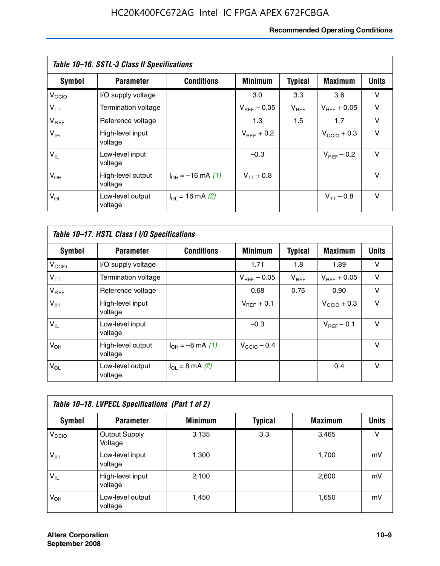#### **Recommended Operating Conditions**

| Table 10–16. SSTL-3 Class II Specifications |                              |                          |                         |                |                  |              |  |
|---------------------------------------------|------------------------------|--------------------------|-------------------------|----------------|------------------|--------------|--|
| Symbol                                      | <b>Parameter</b>             | <b>Conditions</b>        | <b>Minimum</b>          | <b>Typical</b> | <b>Maximum</b>   | <b>Units</b> |  |
| V <sub>CCIO</sub>                           | I/O supply voltage           |                          | 3.0                     | 3.3            | 3.6              | v            |  |
| $V_{TT}$                                    | Termination voltage          |                          | $V_{\text{BFE}} - 0.05$ | $V_{REF}$      | $V_{BFF}$ + 0.05 | v            |  |
| $V_{REF}$                                   | Reference voltage            |                          | 1.3                     | 1.5            | 1.7              | v            |  |
| $V_{IH}$                                    | High-level input<br>voltage  |                          | $V_{BFF}$ + 0.2         |                | $V_{CCD}$ + 0.3  | v            |  |
| $V_{IL}$                                    | Low-level input<br>voltage   |                          | $-0.3$                  |                | $V_{BFF}$ – 0.2  | $\vee$       |  |
| $V_{OH}$                                    | High-level output<br>voltage | $I_{OH} = -16$ mA (1)    | $V_{TT}$ + 0.8          |                |                  | v            |  |
| $V_{OL}$                                    | Low-level output<br>voltage  | $I_{\Omega}$ = 16 mA (2) |                         |                | $V_{TT} - 0.8$   | v            |  |

| Table 10-17. HSTL Class I I/O Specifications |                              |                                 |                         |                |                         |        |  |
|----------------------------------------------|------------------------------|---------------------------------|-------------------------|----------------|-------------------------|--------|--|
| Symbol                                       | <b>Parameter</b>             | <b>Conditions</b>               | <b>Minimum</b>          | <b>Typical</b> | <b>Maximum</b>          | Units  |  |
| V <sub>CCIO</sub>                            | I/O supply voltage           |                                 | 1.71                    | 1.8            | 1.89                    | v      |  |
| $V_{TT}$                                     | Termination voltage          |                                 | $V_{\text{BFE}} - 0.05$ | $V_{REF}$      | $V_{BFF}$ + 0.05        | $\vee$ |  |
| $V_{REF}$                                    | Reference voltage            |                                 | 0.68                    | 0.75           | 0.90                    | $\vee$ |  |
| $V_{\text{IH}}$                              | High-level input<br>voltage  |                                 | $V_{BFF}$ + 0.1         |                | $V_{\text{CCIO}} + 0.3$ | $\vee$ |  |
| $V_{IL}$                                     | Low-level input<br>voltage   |                                 | $-0.3$                  |                | $V_{BFF}$ – 0.1         | $\vee$ |  |
| $V_{OH}$                                     | High-level output<br>voltage | $I_{OH} = -8$ mA (1)            | $V_{\text{CCIO}} - 0.4$ |                |                         | v      |  |
| $V_{OL}$                                     | Low-level output<br>voltage  | $I_{\Omega} = 8 \text{ mA}$ (2) |                         |                | 0.4                     | $\vee$ |  |

| Table 10-18. LVPECL Specifications (Part 1 of 2) |                                 |                |                |                |              |  |  |
|--------------------------------------------------|---------------------------------|----------------|----------------|----------------|--------------|--|--|
| Symbol                                           | <b>Parameter</b>                | <b>Minimum</b> | <b>Typical</b> | <b>Maximum</b> | <b>Units</b> |  |  |
| V <sub>CIO</sub>                                 | <b>Output Supply</b><br>Voltage | 3.135          | 3.3            | 3.465          | v            |  |  |
| $V_{IH}$                                         | Low-level input<br>voltage      | 1,300          |                | 1,700          | mV           |  |  |
| $V_{IL}$                                         | High-level input<br>voltage     | 2,100          |                | 2,600          | mV           |  |  |
| $V_{OH}$                                         | Low-level output<br>voltage     | 1.450          |                | 1,650          | mV           |  |  |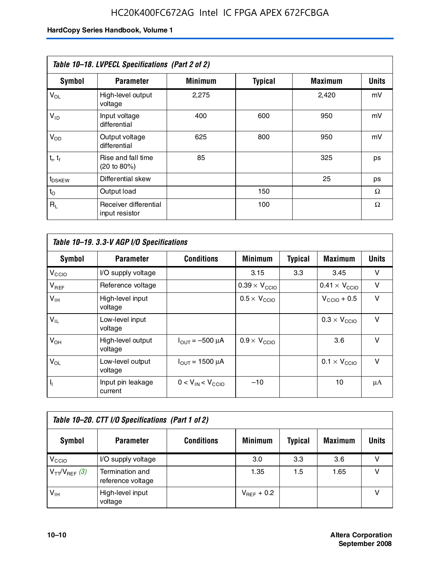### HC20K400FC672AG Intel IC FPGA APEX 672FCBGA

| Table 10-18. LVPECL Specifications (Part 2 of 2) |                                         |                |                |                |              |  |  |
|--------------------------------------------------|-----------------------------------------|----------------|----------------|----------------|--------------|--|--|
| Symbol                                           | <b>Parameter</b>                        | <b>Minimum</b> | <b>Typical</b> | <b>Maximum</b> | <b>Units</b> |  |  |
| $V_{OL}$                                         | High-level output<br>voltage            | 2,275          |                | 2,420          | mV           |  |  |
| $V_{ID}$                                         | Input voltage<br>differential           | 400            | 600            | 950            | mV           |  |  |
| $V_{OD}$                                         | Output voltage<br>differential          | 625            | 800            | 950            | mV           |  |  |
| $t_r$ , $t_f$                                    | Rise and fall time<br>(20 to 80%)       | 85             |                | 325            | ps           |  |  |
| t <sub>DSKEW</sub>                               | Differential skew                       |                |                | 25             | ps           |  |  |
| $t_{\rm O}$                                      | Output load                             |                | 150            |                | Ω            |  |  |
| $R_{\rm L}$                                      | Receiver differential<br>input resistor |                | 100            |                | Ω            |  |  |

| Table 10–19. 3.3-V AGP I/O Specifications |                              |                               |                               |                |                               |        |
|-------------------------------------------|------------------------------|-------------------------------|-------------------------------|----------------|-------------------------------|--------|
| Symbol                                    | <b>Parameter</b>             | <b>Conditions</b>             | <b>Minimum</b>                | <b>Typical</b> | <b>Maximum</b>                | Units  |
| V <sub>CCIO</sub>                         | I/O supply voltage           |                               | 3.15                          | 3.3            | 3.45                          | v      |
| $V_{REF}$                                 | Reference voltage            |                               | $0.39 \times V_{\text{CCIO}}$ |                | $0.41 \times V_{\text{CCIO}}$ | v      |
| $V_{\text{IH}}$                           | High-level input<br>voltage  |                               | $0.5 \times V_{\text{CCIO}}$  |                | $V_{CClO}$ + 0.5              | $\vee$ |
| $V_{IL}$                                  | Low-level input<br>voltage   |                               |                               |                | $0.3 \times V_{\text{CCIO}}$  | $\vee$ |
| $V_{OH}$                                  | High-level output<br>voltage | $I_{\text{OUT}} = -500 \mu A$ | $0.9 \times V_{\text{CCIO}}$  |                | 3.6                           | $\vee$ |
| $V_{OL}$                                  | Low-level output<br>voltage  | $I_{\text{OUT}} = 1500 \mu A$ |                               |                | $0.1 \times V_{\text{CCIO}}$  | $\vee$ |
| $I_1$                                     | Input pin leakage<br>current | $0 < V_{IN} < V_{CCD}$        | $-10$                         |                | 10                            | μA     |

| Table 10–20. CTT I/O Specifications (Part 1 of 2) |                                      |                   |                 |                |                |       |  |
|---------------------------------------------------|--------------------------------------|-------------------|-----------------|----------------|----------------|-------|--|
| Symbol                                            | <b>Parameter</b>                     | <b>Conditions</b> | <b>Minimum</b>  | <b>Typical</b> | <b>Maximum</b> | Units |  |
| V <sub>CIO</sub>                                  | I/O supply voltage                   |                   | 3.0             | 3.3            | 3.6            |       |  |
| $V_{TT}/V_{REF}$ (3)                              | Termination and<br>reference voltage |                   | 1.35            | 1.5            | 1.65           |       |  |
| $V_{IH}$                                          | High-level input<br>voltage          |                   | $V_{REF}$ + 0.2 |                |                |       |  |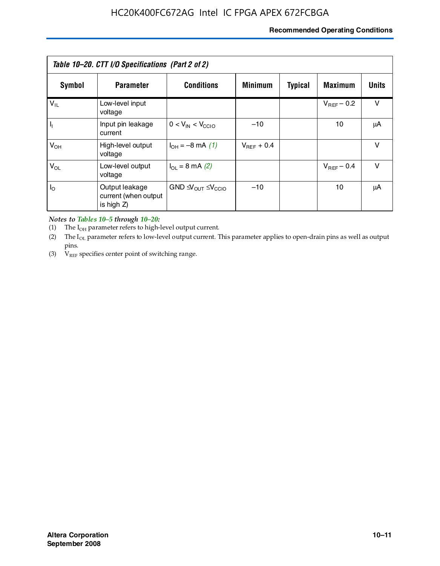#### **Recommended Operating Conditions**

| Table 10–20. CTT I/O Specifications (Part 2 of 2) |                                                      |                                           |                 |                |                 |        |  |
|---------------------------------------------------|------------------------------------------------------|-------------------------------------------|-----------------|----------------|-----------------|--------|--|
| Symbol                                            | <b>Parameter</b>                                     | <b>Conditions</b>                         | <b>Minimum</b>  | <b>Typical</b> | <b>Maximum</b>  | Units  |  |
| $V_{IL}$                                          | Low-level input<br>voltage                           |                                           |                 |                | $V_{BFF}$ – 0.2 | $\vee$ |  |
| $\mathbf{I}_{\mathrm{I}}$                         | Input pin leakage<br>current                         | $0 < V_{IN} < V_{CCIO}$                   | $-10$           |                | 10              | μA     |  |
| $V_{OH}$                                          | High-level output<br>voltage                         | $I_{OH} = -8$ mA (1)                      | $V_{REF}$ + 0.4 |                |                 | $\vee$ |  |
| $V_{OL}$                                          | Low-level output<br>voltage                          | $I_{\Omega}$ = 8 mA (2)                   |                 |                | $V_{BFF}$ – 0.4 | $\vee$ |  |
| $I_{\odot}$                                       | Output leakage<br>current (when output<br>is high Z) | $GND \triangleleft V_{OUT} \leq V_{CCIO}$ | $-10$           |                | 10              | μA     |  |

*Notes to Tables 10–5 through 10–20:*

(1) The  $I_{OH}$  parameter refers to high-level output current.

(2) The  $I_{OL}$  parameter refers to low-level output current. This parameter applies to open-drain pins as well as output pins.

(3)  $V_{REF}$  specifies center point of switching range.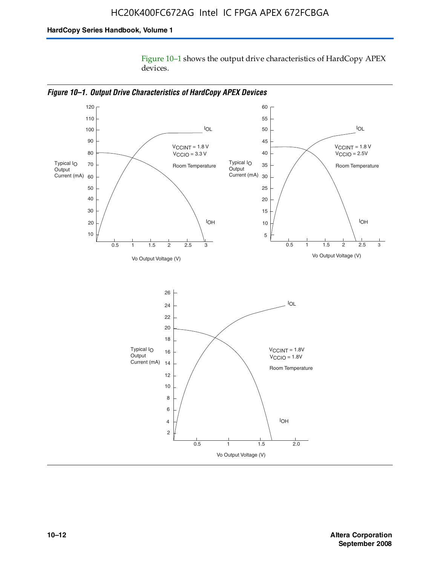Figure 10–1 shows the output drive characteristics of HardCopy APEX devices.



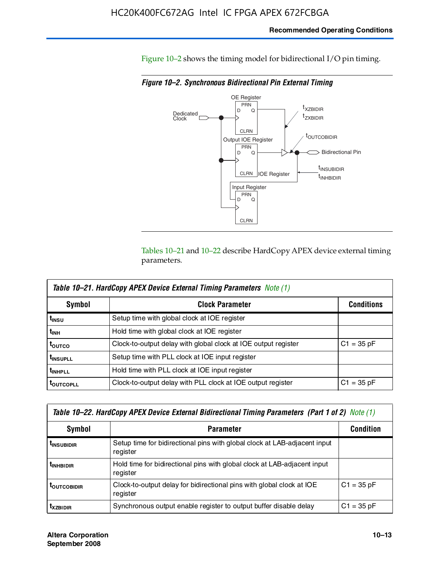#### **Recommended Operating Conditions**

Figure 10–2 shows the timing model for bidirectional I/O pin timing.

*Figure 10–2. Synchronous Bidirectional Pin External Timing*



Tables 10–21 and 10–22 describe HardCopy APEX device external timing parameters.

| <b>Table 10–21. HardCopy APEX Device External Timing Parameters Note (1)</b> |                                                                |                   |  |  |  |  |
|------------------------------------------------------------------------------|----------------------------------------------------------------|-------------------|--|--|--|--|
| Symbol                                                                       | <b>Clock Parameter</b>                                         | <b>Conditions</b> |  |  |  |  |
| t <sub>insu</sub>                                                            | Setup time with global clock at IOE register                   |                   |  |  |  |  |
| t <sub>інн</sub>                                                             | Hold time with global clock at IOE register                    |                   |  |  |  |  |
| t <sub>outco</sub>                                                           | Clock-to-output delay with global clock at IOE output register | $C1 = 35 pF$      |  |  |  |  |
| <b>t</b> INSUPLL                                                             | Setup time with PLL clock at IOE input register                |                   |  |  |  |  |
| <b>t</b> INHPLL                                                              | Hold time with PLL clock at IOE input register                 |                   |  |  |  |  |
| <b>TOUTCOPLL</b>                                                             | Clock-to-output delay with PLL clock at IOE output register    | $C1 = 35 pF$      |  |  |  |  |

| Table 10–22. HardCopy APEX Device External Bidirectional Timing Parameters (Part 1 of 2) Note (1) |                                                                                       |              |  |  |  |  |
|---------------------------------------------------------------------------------------------------|---------------------------------------------------------------------------------------|--------------|--|--|--|--|
| Symbol                                                                                            | <b>Condition</b>                                                                      |              |  |  |  |  |
| <b><i>L</i>INSUBIDIR</b>                                                                          | Setup time for bidirectional pins with global clock at LAB-adjacent input<br>register |              |  |  |  |  |
| <b><i>L</i>INHBIDIR</b>                                                                           | Hold time for bidirectional pins with global clock at LAB-adjacent input<br>register  |              |  |  |  |  |
| <b>LOUTCOBIDIR</b>                                                                                | Clock-to-output delay for bidirectional pins with global clock at IOE<br>register     | $C1 = 35 pF$ |  |  |  |  |
| <b>T</b> x <sub>7BIDIR</sub>                                                                      | Synchronous output enable register to output buffer disable delay                     | $C1 = 35 pF$ |  |  |  |  |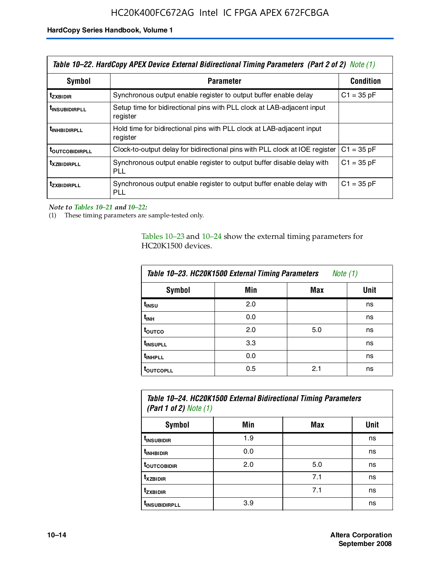| Table 10–22. HardCopy APEX Device External Bidirectional Timing Parameters (Part 2 of 2) Note (1) |                                                                                    |                  |  |  |  |
|---------------------------------------------------------------------------------------------------|------------------------------------------------------------------------------------|------------------|--|--|--|
| Symbol                                                                                            | <b>Parameter</b>                                                                   | <b>Condition</b> |  |  |  |
| t <sub>zxbidir</sub>                                                                              | Synchronous output enable register to output buffer enable delay                   | $C1 = 35 pF$     |  |  |  |
| <b>t</b> insubidirpll                                                                             | Setup time for bidirectional pins with PLL clock at LAB-adiacent input<br>register |                  |  |  |  |
| <b><i>LINHBIDIRPLL</i></b>                                                                        | Hold time for bidirectional pins with PLL clock at LAB-adjacent input<br>register  |                  |  |  |  |
| <b>TOUTCOBIDIRPLL</b>                                                                             | Clock-to-output delay for bidirectional pins with PLL clock at IOE register        | $C1 = 35 pF$     |  |  |  |
| <b>TXZBIDIRPLL</b>                                                                                | Synchronous output enable register to output buffer disable delay with<br>PLL      | $C1 = 35 pF$     |  |  |  |
| <i>t</i> zxbidirpll                                                                               | Synchronous output enable register to output buffer enable delay with<br>PLI.      | $C1 = 35 pF$     |  |  |  |

*Note to Tables 10–21 and 10–22:*

(1) These timing parameters are sample-tested only.

Tables 10–23 and 10–24 show the external timing parameters for HC20K1500 devices.

| Table 10-23. HC20K1500 External Timing Parameters<br>Note (1) |     |     |      |
|---------------------------------------------------------------|-----|-----|------|
| <b>Symbol</b>                                                 | Min | Max | Unit |
| t <sub>INSU</sub>                                             | 2.0 |     | ns   |
| $t_{\sf INH}$                                                 | 0.0 |     | ns   |
| t <sub>outco</sub>                                            | 2.0 | 5.0 | ns   |
| t <sub>INSUPLL</sub>                                          | 3.3 |     | ns   |
| t <sub>INHPLL</sub>                                           | 0.0 |     | ns   |
| <b>toutcopll</b>                                              | 0.5 | 2.1 | ns   |

| Table 10–24. HC20K1500 External Bidirectional Timing Parameters<br>(Part 1 of 2) Note $(1)$ |     |     |      |  |
|---------------------------------------------------------------------------------------------|-----|-----|------|--|
| Symbol                                                                                      | Min | Max | Unit |  |
| t <sub>insubidir</sub>                                                                      | 1.9 |     | ns   |  |
| t <sub>inhBidir</sub>                                                                       | 0.0 |     | ns   |  |
|                                                                                             |     |     |      |  |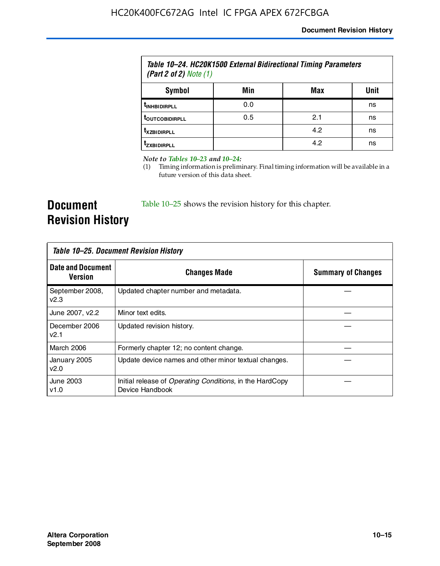| Table 10–24. HC20K1500 External Bidirectional Timing Parameters<br>(Part 2 of 2) Note $(1)$ |     |     |      |
|---------------------------------------------------------------------------------------------|-----|-----|------|
| Symbol                                                                                      | Min | Max | Unit |
| <b><i>UNHBIDIRPLL</i></b>                                                                   | 0.0 |     | ns   |
| <b>TOUTCOBIDIRPLL</b>                                                                       | 0.5 | 2.1 | ns   |
| <b>T</b> XZBIDIRPLL                                                                         |     | 4.2 | ns   |
| <sup>T</sup> ZXBIDIRPLL                                                                     |     | 4.2 | ns   |

*Note to Tables 10–23 and 10–24:*

(1) Timing information is preliminary. Final timing information will be available in a future version of this data sheet.

**Document Revision History**

Table 10–25 shows the revision history for this chapter.

| Table 10–25. Document Revision History |                                                                                     |                           |  |
|----------------------------------------|-------------------------------------------------------------------------------------|---------------------------|--|
| <b>Date and Document</b><br>Version    | <b>Changes Made</b>                                                                 | <b>Summary of Changes</b> |  |
| September 2008,<br>v2.3                | Updated chapter number and metadata.                                                |                           |  |
| June 2007, v2.2                        | Minor text edits.                                                                   |                           |  |
| December 2006<br>v2.1                  | Updated revision history.                                                           |                           |  |
| March 2006                             | Formerly chapter 12; no content change.                                             |                           |  |
| January 2005<br>v2.0                   | Update device names and other minor textual changes.                                |                           |  |
| June 2003<br>v1.0                      | Initial release of <i>Operating Conditions</i> , in the HardCopy<br>Device Handbook |                           |  |